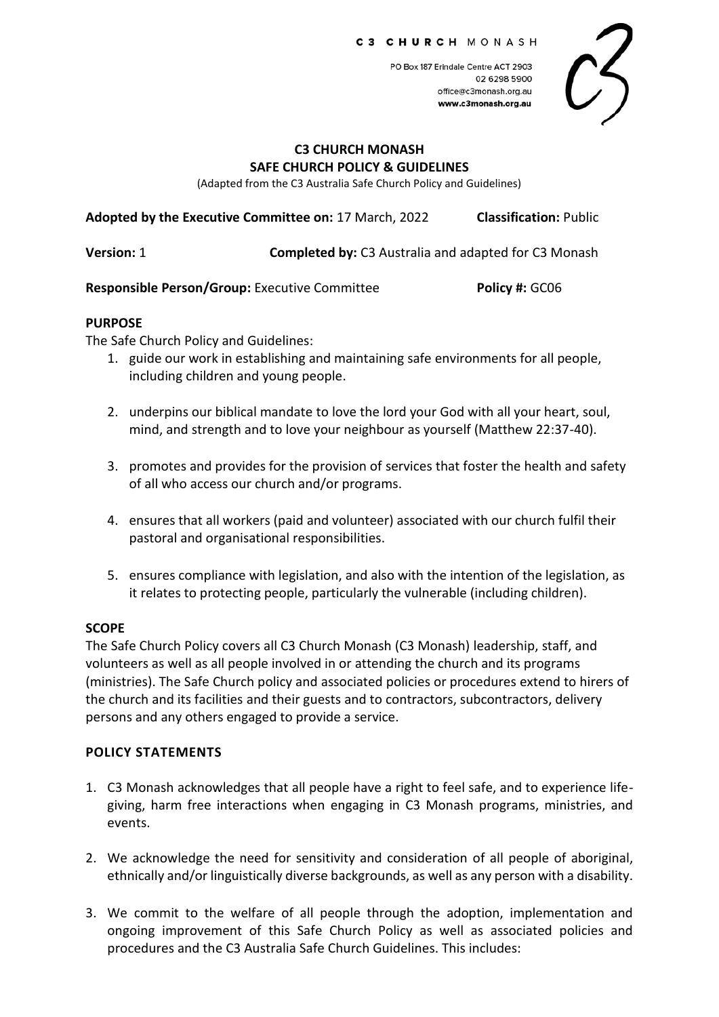PO Box 187 Erindale Centre ACT 2903 02.6298.5900 office@c3monash.org.au www.c3monash.org.au

### **C3 CHURCH MONASH SAFE CHURCH POLICY & GUIDELINES**

(Adapted from the C3 Australia Safe Church Policy and Guidelines)

**Adopted by the Executive Committee on:** 17 March, 2022 **Classification:** Public

**Version:** 1 **Completed by:** C3 Australia and adapted for C3 Monash

**Responsible Person/Group:** Executive Committee **Policy #: GC06** 

#### **PURPOSE**

The Safe Church Policy and Guidelines:

- 1. guide our work in establishing and maintaining safe environments for all people, including children and young people.
- 2. underpins our biblical mandate to love the lord your God with all your heart, soul, mind, and strength and to love your neighbour as yourself (Matthew 22:37-40).
- 3. promotes and provides for the provision of services that foster the health and safety of all who access our church and/or programs.
- 4. ensures that all workers (paid and volunteer) associated with our church fulfil their pastoral and organisational responsibilities.
- 5. ensures compliance with legislation, and also with the intention of the legislation, as it relates to protecting people, particularly the vulnerable (including children).

## **SCOPE**

The Safe Church Policy covers all C3 Church Monash (C3 Monash) leadership, staff, and volunteers as well as all people involved in or attending the church and its programs (ministries). The Safe Church policy and associated policies or procedures extend to hirers of the church and its facilities and their guests and to contractors, subcontractors, delivery persons and any others engaged to provide a service.

### **POLICY STATEMENTS**

- 1. C3 Monash acknowledges that all people have a right to feel safe, and to experience lifegiving, harm free interactions when engaging in C3 Monash programs, ministries, and events.
- 2. We acknowledge the need for sensitivity and consideration of all people of aboriginal, ethnically and/or linguistically diverse backgrounds, as well as any person with a disability.
- 3. We commit to the welfare of all people through the adoption, implementation and ongoing improvement of this Safe Church Policy as well as associated policies and procedures and the C3 Australia Safe Church Guidelines. This includes: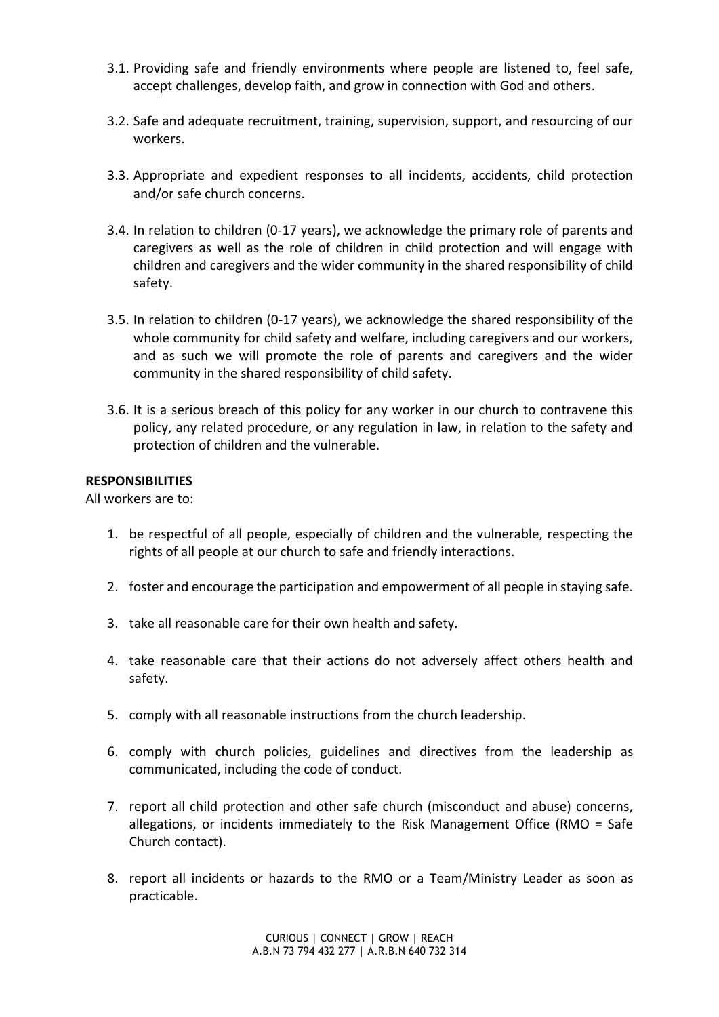- 3.1. Providing safe and friendly environments where people are listened to, feel safe, accept challenges, develop faith, and grow in connection with God and others.
- 3.2. Safe and adequate recruitment, training, supervision, support, and resourcing of our workers.
- 3.3. Appropriate and expedient responses to all incidents, accidents, child protection and/or safe church concerns.
- 3.4. In relation to children (0-17 years), we acknowledge the primary role of parents and caregivers as well as the role of children in child protection and will engage with children and caregivers and the wider community in the shared responsibility of child safety.
- 3.5. In relation to children (0-17 years), we acknowledge the shared responsibility of the whole community for child safety and welfare, including caregivers and our workers, and as such we will promote the role of parents and caregivers and the wider community in the shared responsibility of child safety.
- 3.6. It is a serious breach of this policy for any worker in our church to contravene this policy, any related procedure, or any regulation in law, in relation to the safety and protection of children and the vulnerable.

## **RESPONSIBILITIES**

All workers are to:

- 1. be respectful of all people, especially of children and the vulnerable, respecting the rights of all people at our church to safe and friendly interactions.
- 2. foster and encourage the participation and empowerment of all people in staying safe.
- 3. take all reasonable care for their own health and safety.
- 4. take reasonable care that their actions do not adversely affect others health and safety.
- 5. comply with all reasonable instructions from the church leadership.
- 6. comply with church policies, guidelines and directives from the leadership as communicated, including the code of conduct.
- 7. report all child protection and other safe church (misconduct and abuse) concerns, allegations, or incidents immediately to the Risk Management Office (RMO = Safe Church contact).
- 8. report all incidents or hazards to the RMO or a Team/Ministry Leader as soon as practicable.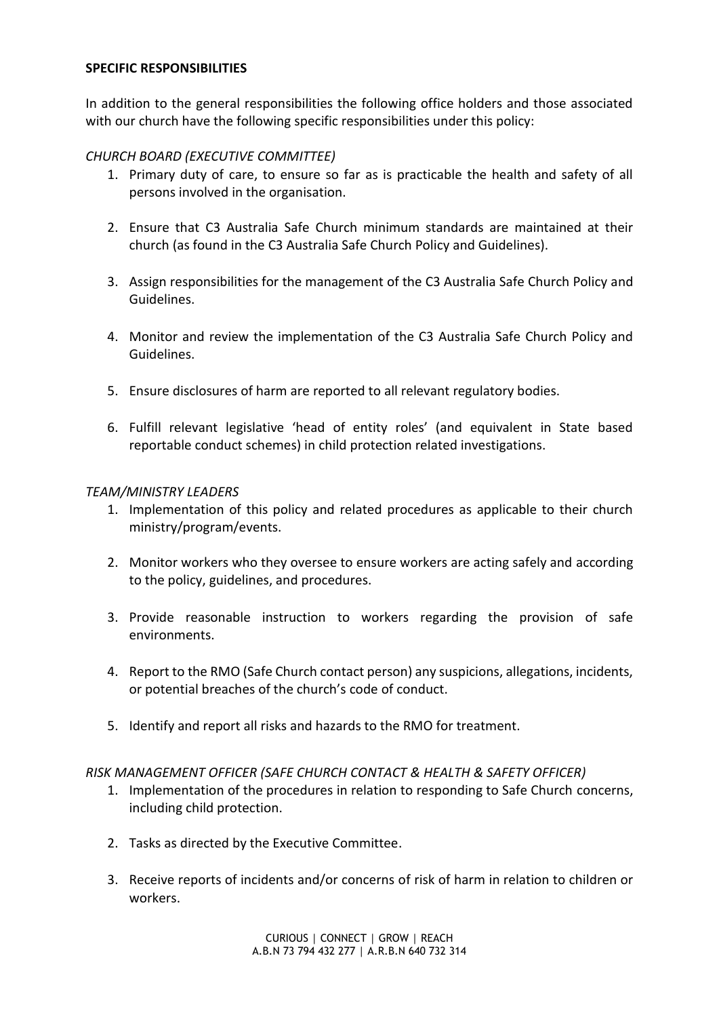## **SPECIFIC RESPONSIBILITIES**

In addition to the general responsibilities the following office holders and those associated with our church have the following specific responsibilities under this policy:

## *CHURCH BOARD (EXECUTIVE COMMITTEE)*

- 1. Primary duty of care, to ensure so far as is practicable the health and safety of all persons involved in the organisation.
- 2. Ensure that C3 Australia Safe Church minimum standards are maintained at their church (as found in the C3 Australia Safe Church Policy and Guidelines).
- 3. Assign responsibilities for the management of the C3 Australia Safe Church Policy and Guidelines.
- 4. Monitor and review the implementation of the C3 Australia Safe Church Policy and Guidelines.
- 5. Ensure disclosures of harm are reported to all relevant regulatory bodies.
- 6. Fulfill relevant legislative 'head of entity roles' (and equivalent in State based reportable conduct schemes) in child protection related investigations.

### *TEAM/MINISTRY LEADERS*

- 1. Implementation of this policy and related procedures as applicable to their church ministry/program/events.
- 2. Monitor workers who they oversee to ensure workers are acting safely and according to the policy, guidelines, and procedures.
- 3. Provide reasonable instruction to workers regarding the provision of safe environments.
- 4. Report to the RMO (Safe Church contact person) any suspicions, allegations, incidents, or potential breaches of the church's code of conduct.
- 5. Identify and report all risks and hazards to the RMO for treatment.

### *RISK MANAGEMENT OFFICER (SAFE CHURCH CONTACT & HEALTH & SAFETY OFFICER)*

- 1. Implementation of the procedures in relation to responding to Safe Church concerns, including child protection.
- 2. Tasks as directed by the Executive Committee.
- 3. Receive reports of incidents and/or concerns of risk of harm in relation to children or workers.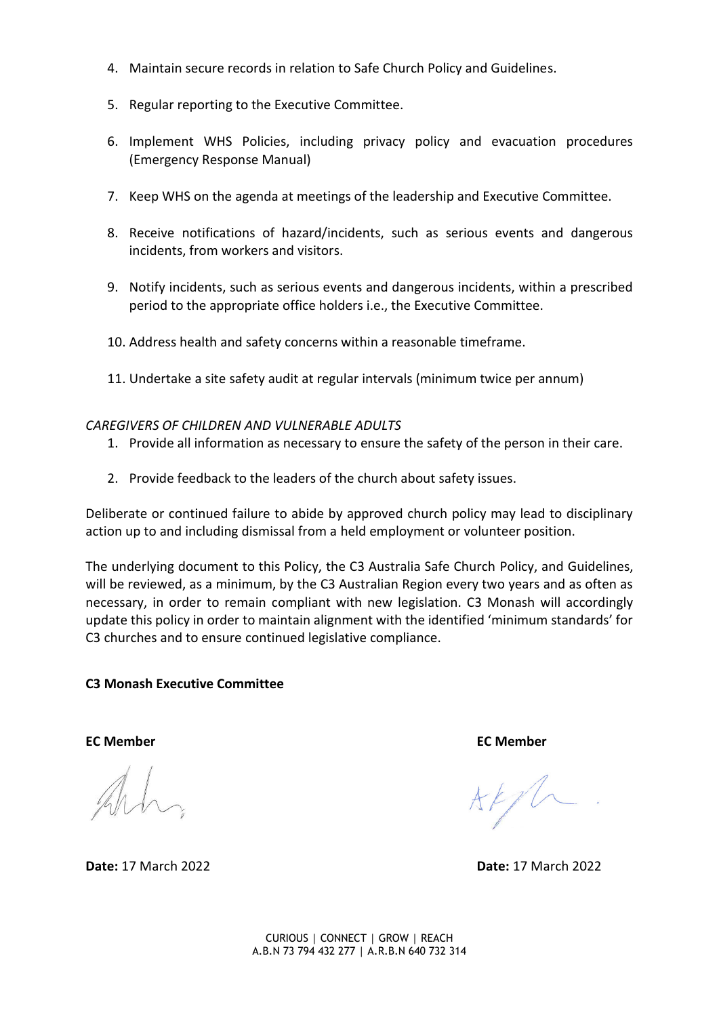- 4. Maintain secure records in relation to Safe Church Policy and Guidelines.
- 5. Regular reporting to the Executive Committee.
- 6. Implement WHS Policies, including privacy policy and evacuation procedures (Emergency Response Manual)
- 7. Keep WHS on the agenda at meetings of the leadership and Executive Committee.
- 8. Receive notifications of hazard/incidents, such as serious events and dangerous incidents, from workers and visitors.
- 9. Notify incidents, such as serious events and dangerous incidents, within a prescribed period to the appropriate office holders i.e., the Executive Committee.
- 10. Address health and safety concerns within a reasonable timeframe.
- 11. Undertake a site safety audit at regular intervals (minimum twice per annum)

### *CAREGIVERS OF CHILDREN AND VULNERABLE ADULTS*

- 1. Provide all information as necessary to ensure the safety of the person in their care.
- 2. Provide feedback to the leaders of the church about safety issues.

Deliberate or continued failure to abide by approved church policy may lead to disciplinary action up to and including dismissal from a held employment or volunteer position.

The underlying document to this Policy, the C3 Australia Safe Church Policy, and Guidelines, will be reviewed, as a minimum, by the C3 Australian Region every two years and as often as necessary, in order to remain compliant with new legislation. C3 Monash will accordingly update this policy in order to maintain alignment with the identified 'minimum standards' for C3 churches and to ensure continued legislative compliance.

### **C3 Monash Executive Committee**

**Date:** 17 March 2022 **Date:** 17 March 2022

**EC Member EC Member** 

 $AFf$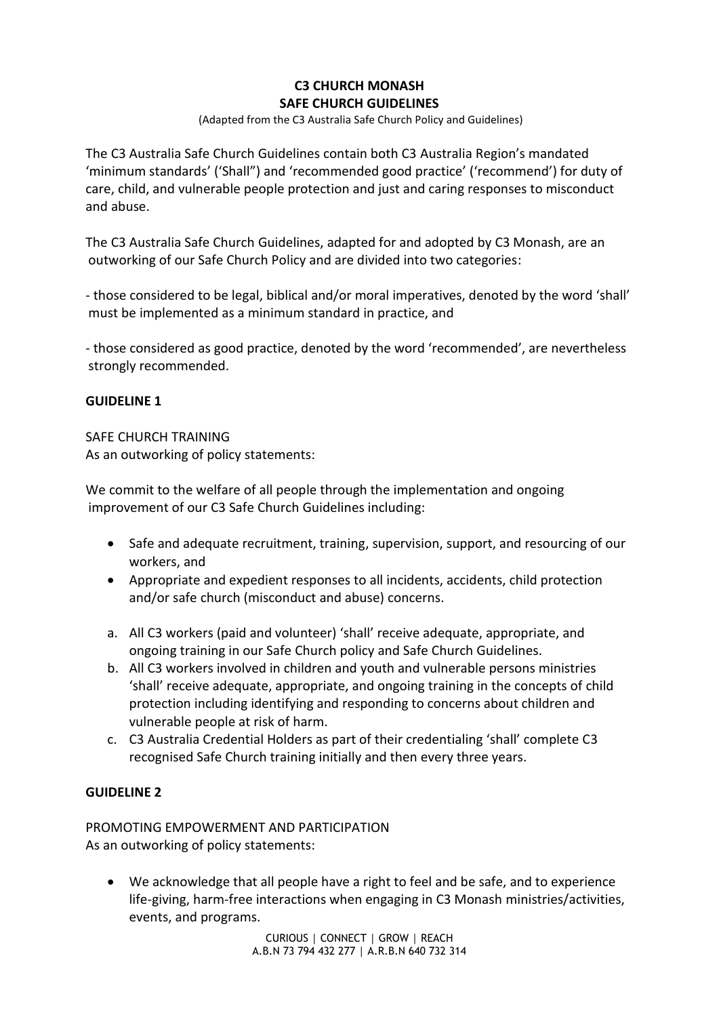# **C3 CHURCH MONASH SAFE CHURCH GUIDELINES**

(Adapted from the C3 Australia Safe Church Policy and Guidelines)

The C3 Australia Safe Church Guidelines contain both C3 Australia Region's mandated 'minimum standards' ('Shall") and 'recommended good practice' ('recommend') for duty of care, child, and vulnerable people protection and just and caring responses to misconduct and abuse.

The C3 Australia Safe Church Guidelines, adapted for and adopted by C3 Monash, are an outworking of our Safe Church Policy and are divided into two categories:

- those considered to be legal, biblical and/or moral imperatives, denoted by the word 'shall' must be implemented as a minimum standard in practice, and

- those considered as good practice, denoted by the word 'recommended', are nevertheless strongly recommended.

## **GUIDELINE 1**

### SAFE CHURCH TRAINING

As an outworking of policy statements:

We commit to the welfare of all people through the implementation and ongoing improvement of our C3 Safe Church Guidelines including:

- Safe and adequate recruitment, training, supervision, support, and resourcing of our workers, and
- Appropriate and expedient responses to all incidents, accidents, child protection and/or safe church (misconduct and abuse) concerns.
- a. All C3 workers (paid and volunteer) 'shall' receive adequate, appropriate, and ongoing training in our Safe Church policy and Safe Church Guidelines.
- b. All C3 workers involved in children and youth and vulnerable persons ministries 'shall' receive adequate, appropriate, and ongoing training in the concepts of child protection including identifying and responding to concerns about children and vulnerable people at risk of harm.
- c. C3 Australia Credential Holders as part of their credentialing 'shall' complete C3 recognised Safe Church training initially and then every three years.

## **GUIDELINE 2**

PROMOTING EMPOWERMENT AND PARTICIPATION As an outworking of policy statements:

• We acknowledge that all people have a right to feel and be safe, and to experience life-giving, harm-free interactions when engaging in C3 Monash ministries/activities, events, and programs.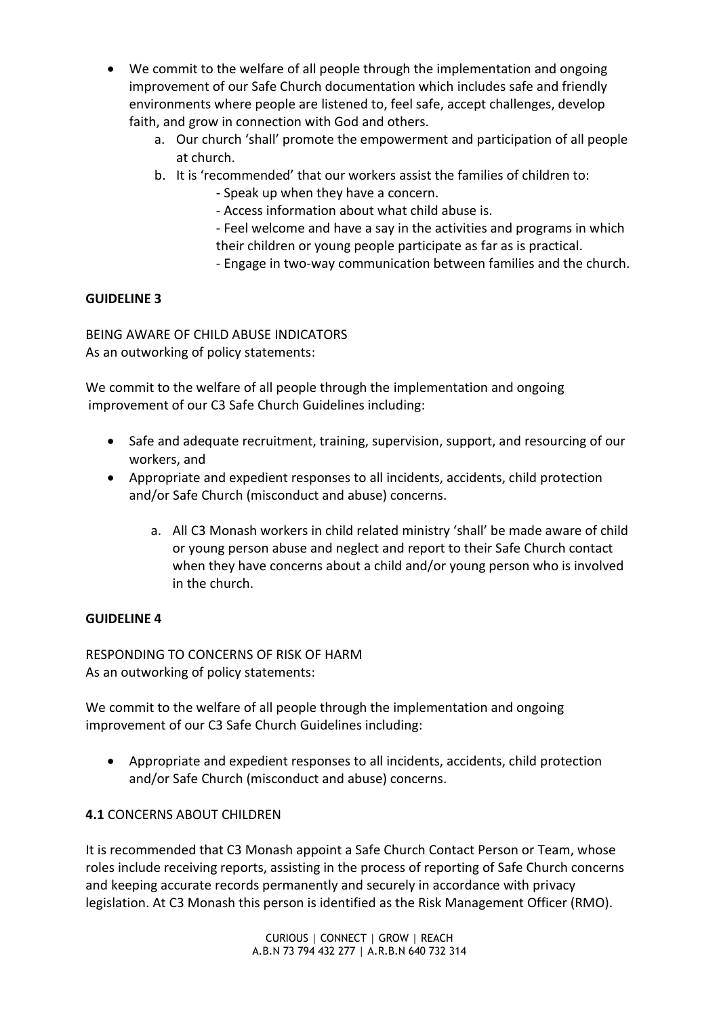- We commit to the welfare of all people through the implementation and ongoing improvement of our Safe Church documentation which includes safe and friendly environments where people are listened to, feel safe, accept challenges, develop faith, and grow in connection with God and others.
	- a. Our church 'shall' promote the empowerment and participation of all people at church.
	- b. It is 'recommended' that our workers assist the families of children to:
		- Speak up when they have a concern.
		- Access information about what child abuse is.
		- Feel welcome and have a say in the activities and programs in which their children or young people participate as far as is practical.
		- Engage in two-way communication between families and the church.

BEING AWARE OF CHILD ABUSE INDICATORS As an outworking of policy statements:

We commit to the welfare of all people through the implementation and ongoing improvement of our C3 Safe Church Guidelines including:

- Safe and adequate recruitment, training, supervision, support, and resourcing of our workers, and
- Appropriate and expedient responses to all incidents, accidents, child protection and/or Safe Church (misconduct and abuse) concerns.
	- a. All C3 Monash workers in child related ministry 'shall' be made aware of child or young person abuse and neglect and report to their Safe Church contact when they have concerns about a child and/or young person who is involved in the church.

### **GUIDELINE 4**

RESPONDING TO CONCERNS OF RISK OF HARM As an outworking of policy statements:

We commit to the welfare of all people through the implementation and ongoing improvement of our C3 Safe Church Guidelines including:

• Appropriate and expedient responses to all incidents, accidents, child protection and/or Safe Church (misconduct and abuse) concerns.

## **4.1** CONCERNS ABOUT CHILDREN

It is recommended that C3 Monash appoint a Safe Church Contact Person or Team, whose roles include receiving reports, assisting in the process of reporting of Safe Church concerns and keeping accurate records permanently and securely in accordance with privacy legislation. At C3 Monash this person is identified as the Risk Management Officer (RMO).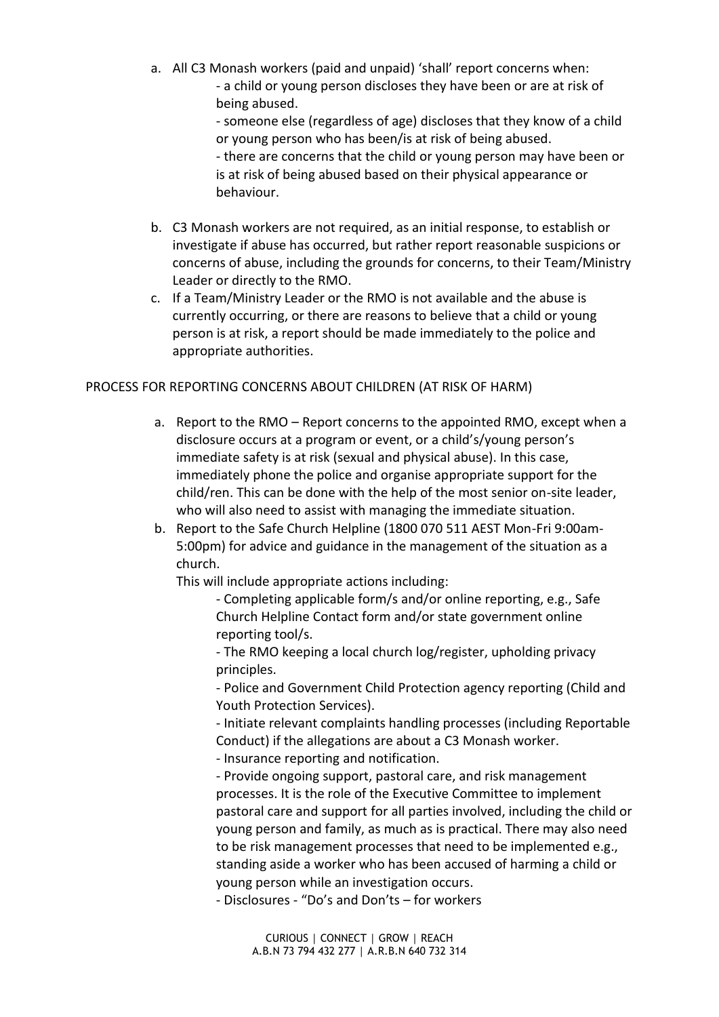a. All C3 Monash workers (paid and unpaid) 'shall' report concerns when: - a child or young person discloses they have been or are at risk of being abused.

> - someone else (regardless of age) discloses that they know of a child or young person who has been/is at risk of being abused. - there are concerns that the child or young person may have been or

is at risk of being abused based on their physical appearance or behaviour.

- b. C3 Monash workers are not required, as an initial response, to establish or investigate if abuse has occurred, but rather report reasonable suspicions or concerns of abuse, including the grounds for concerns, to their Team/Ministry Leader or directly to the RMO.
- c. If a Team/Ministry Leader or the RMO is not available and the abuse is currently occurring, or there are reasons to believe that a child or young person is at risk, a report should be made immediately to the police and appropriate authorities.

## PROCESS FOR REPORTING CONCERNS ABOUT CHILDREN (AT RISK OF HARM)

- a. Report to the RMO Report concerns to the appointed RMO, except when a disclosure occurs at a program or event, or a child's/young person's immediate safety is at risk (sexual and physical abuse). In this case, immediately phone the police and organise appropriate support for the child/ren. This can be done with the help of the most senior on-site leader, who will also need to assist with managing the immediate situation.
- b. Report to the Safe Church Helpline (1800 070 511 AEST Mon-Fri 9:00am-5:00pm) for advice and guidance in the management of the situation as a church.

This will include appropriate actions including:

- Completing applicable form/s and/or online reporting, e.g., Safe Church Helpline Contact form and/or state government online reporting tool/s.

- The RMO keeping a local church log/register, upholding privacy principles.

- Police and Government Child Protection agency reporting (Child and Youth Protection Services).

- Initiate relevant complaints handling processes (including Reportable Conduct) if the allegations are about a C3 Monash worker.

- Insurance reporting and notification.

- Provide ongoing support, pastoral care, and risk management processes. It is the role of the Executive Committee to implement pastoral care and support for all parties involved, including the child or young person and family, as much as is practical. There may also need to be risk management processes that need to be implemented e.g., standing aside a worker who has been accused of harming a child or young person while an investigation occurs.

- Disclosures - "Do's and Don'ts – for workers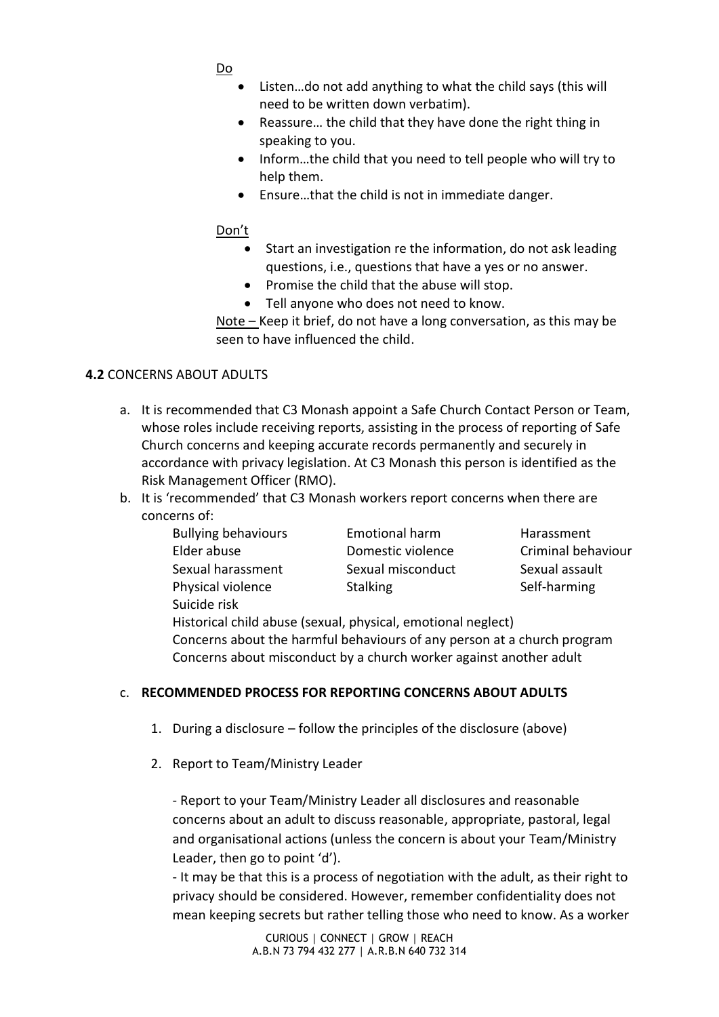- Do
- Listen…do not add anything to what the child says (this will need to be written down verbatim).
- Reassure… the child that they have done the right thing in speaking to you.
- Inform…the child that you need to tell people who will try to help them.
- Ensure…that the child is not in immediate danger.

## Don't

- Start an investigation re the information, do not ask leading questions, i.e., questions that have a yes or no answer.
- Promise the child that the abuse will stop.
- Tell anyone who does not need to know.

Note – Keep it brief, do not have a long conversation, as this may be seen to have influenced the child.

## **4.2** CONCERNS ABOUT ADULTS

- a. It is recommended that C3 Monash appoint a Safe Church Contact Person or Team, whose roles include receiving reports, assisting in the process of reporting of Safe Church concerns and keeping accurate records permanently and securely in accordance with privacy legislation. At C3 Monash this person is identified as the Risk Management Officer (RMO).
- b. It is 'recommended' that C3 Monash workers report concerns when there are concerns of:
	- Bullying behaviours Emotional harm Harassment Elder abuse Domestic violence Criminal behaviour Sexual harassment Sexual misconduct Sexual assault Physical violence Stalking Stalking Self-harming Suicide risk

Historical child abuse (sexual, physical, emotional neglect) Concerns about the harmful behaviours of any person at a church program Concerns about misconduct by a church worker against another adult

## c. **RECOMMENDED PROCESS FOR REPORTING CONCERNS ABOUT ADULTS**

- 1. During a disclosure follow the principles of the disclosure (above)
- 2. Report to Team/Ministry Leader

- Report to your Team/Ministry Leader all disclosures and reasonable concerns about an adult to discuss reasonable, appropriate, pastoral, legal and organisational actions (unless the concern is about your Team/Ministry Leader, then go to point 'd').

- It may be that this is a process of negotiation with the adult, as their right to privacy should be considered. However, remember confidentiality does not mean keeping secrets but rather telling those who need to know. As a worker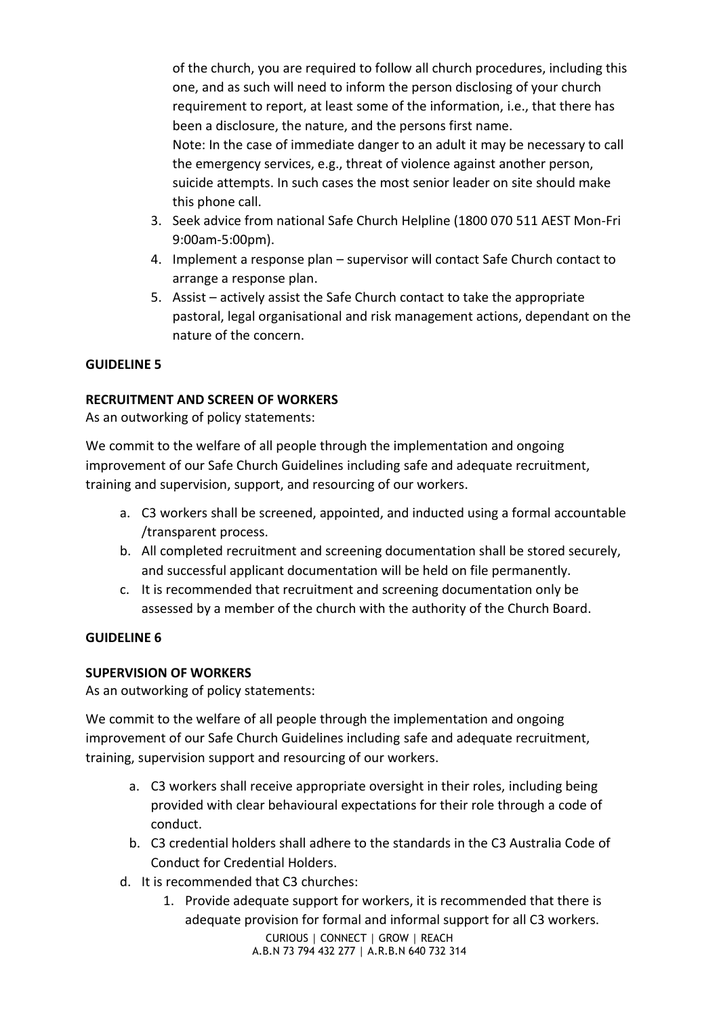of the church, you are required to follow all church procedures, including this one, and as such will need to inform the person disclosing of your church requirement to report, at least some of the information, i.e., that there has been a disclosure, the nature, and the persons first name. Note: In the case of immediate danger to an adult it may be necessary to call the emergency services, e.g., threat of violence against another person, suicide attempts. In such cases the most senior leader on site should make this phone call.

- 3. Seek advice from national Safe Church Helpline (1800 070 511 AEST Mon-Fri 9:00am-5:00pm).
- 4. Implement a response plan supervisor will contact Safe Church contact to arrange a response plan.
- 5. Assist actively assist the Safe Church contact to take the appropriate pastoral, legal organisational and risk management actions, dependant on the nature of the concern.

# **GUIDELINE 5**

## **RECRUITMENT AND SCREEN OF WORKERS**

As an outworking of policy statements:

We commit to the welfare of all people through the implementation and ongoing improvement of our Safe Church Guidelines including safe and adequate recruitment, training and supervision, support, and resourcing of our workers.

- a. C3 workers shall be screened, appointed, and inducted using a formal accountable /transparent process.
- b. All completed recruitment and screening documentation shall be stored securely, and successful applicant documentation will be held on file permanently.
- c. It is recommended that recruitment and screening documentation only be assessed by a member of the church with the authority of the Church Board.

## **GUIDELINE 6**

## **SUPERVISION OF WORKERS**

As an outworking of policy statements:

We commit to the welfare of all people through the implementation and ongoing improvement of our Safe Church Guidelines including safe and adequate recruitment, training, supervision support and resourcing of our workers.

- a. C3 workers shall receive appropriate oversight in their roles, including being provided with clear behavioural expectations for their role through a code of conduct.
- b. C3 credential holders shall adhere to the standards in the C3 Australia Code of Conduct for Credential Holders.
- d. It is recommended that C3 churches:
	- CURIOUS │ CONNECT │ GROW │ REACH A.B.N 73 794 432 277 │ A.R.B.N 640 732 314 1. Provide adequate support for workers, it is recommended that there is adequate provision for formal and informal support for all C3 workers.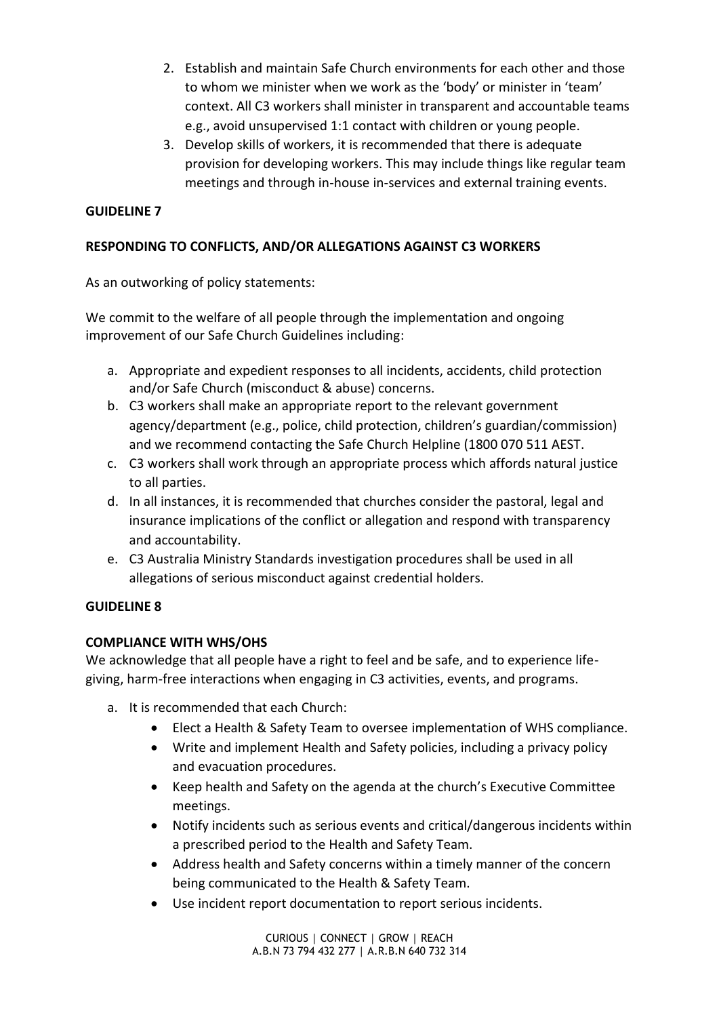- 2. Establish and maintain Safe Church environments for each other and those to whom we minister when we work as the 'body' or minister in 'team' context. All C3 workers shall minister in transparent and accountable teams e.g., avoid unsupervised 1:1 contact with children or young people.
- 3. Develop skills of workers, it is recommended that there is adequate provision for developing workers. This may include things like regular team meetings and through in-house in-services and external training events.

# **RESPONDING TO CONFLICTS, AND/OR ALLEGATIONS AGAINST C3 WORKERS**

As an outworking of policy statements:

We commit to the welfare of all people through the implementation and ongoing improvement of our Safe Church Guidelines including:

- a. Appropriate and expedient responses to all incidents, accidents, child protection and/or Safe Church (misconduct & abuse) concerns.
- b. C3 workers shall make an appropriate report to the relevant government agency/department (e.g., police, child protection, children's guardian/commission) and we recommend contacting the Safe Church Helpline (1800 070 511 AEST.
- c. C3 workers shall work through an appropriate process which affords natural justice to all parties.
- d. In all instances, it is recommended that churches consider the pastoral, legal and insurance implications of the conflict or allegation and respond with transparency and accountability.
- e. C3 Australia Ministry Standards investigation procedures shall be used in all allegations of serious misconduct against credential holders.

# **GUIDELINE 8**

## **COMPLIANCE WITH WHS/OHS**

We acknowledge that all people have a right to feel and be safe, and to experience lifegiving, harm-free interactions when engaging in C3 activities, events, and programs.

- a. It is recommended that each Church:
	- Elect a Health & Safety Team to oversee implementation of WHS compliance.
	- Write and implement Health and Safety policies, including a privacy policy and evacuation procedures.
	- Keep health and Safety on the agenda at the church's Executive Committee meetings.
	- Notify incidents such as serious events and critical/dangerous incidents within a prescribed period to the Health and Safety Team.
	- Address health and Safety concerns within a timely manner of the concern being communicated to the Health & Safety Team.
	- Use incident report documentation to report serious incidents.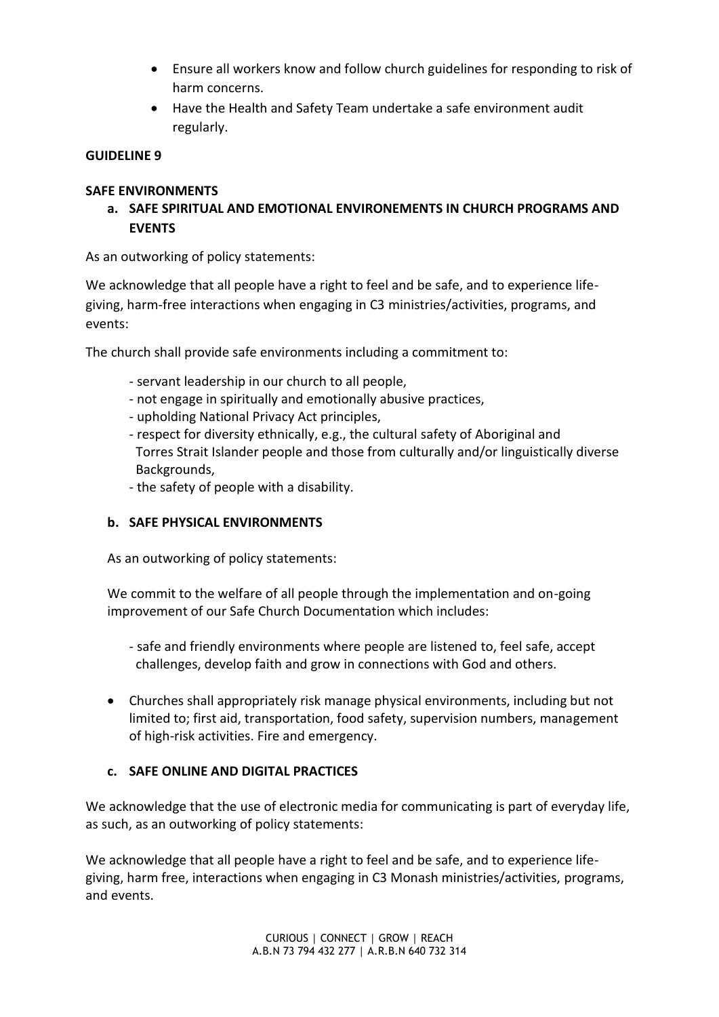- Ensure all workers know and follow church guidelines for responding to risk of harm concerns.
- Have the Health and Safety Team undertake a safe environment audit regularly.

# **SAFE ENVIRONMENTS**

**a. SAFE SPIRITUAL AND EMOTIONAL ENVIRONEMENTS IN CHURCH PROGRAMS AND EVENTS** 

As an outworking of policy statements:

We acknowledge that all people have a right to feel and be safe, and to experience lifegiving, harm-free interactions when engaging in C3 ministries/activities, programs, and events:

The church shall provide safe environments including a commitment to:

- servant leadership in our church to all people,
- not engage in spiritually and emotionally abusive practices,
- upholding National Privacy Act principles,
- respect for diversity ethnically, e.g., the cultural safety of Aboriginal and Torres Strait Islander people and those from culturally and/or linguistically diverse Backgrounds,
- the safety of people with a disability.

# **b. SAFE PHYSICAL ENVIRONMENTS**

As an outworking of policy statements:

We commit to the welfare of all people through the implementation and on-going improvement of our Safe Church Documentation which includes:

- safe and friendly environments where people are listened to, feel safe, accept challenges, develop faith and grow in connections with God and others.
- Churches shall appropriately risk manage physical environments, including but not limited to; first aid, transportation, food safety, supervision numbers, management of high-risk activities. Fire and emergency.

# **c. SAFE ONLINE AND DIGITAL PRACTICES**

We acknowledge that the use of electronic media for communicating is part of everyday life, as such, as an outworking of policy statements:

We acknowledge that all people have a right to feel and be safe, and to experience lifegiving, harm free, interactions when engaging in C3 Monash ministries/activities, programs, and events.